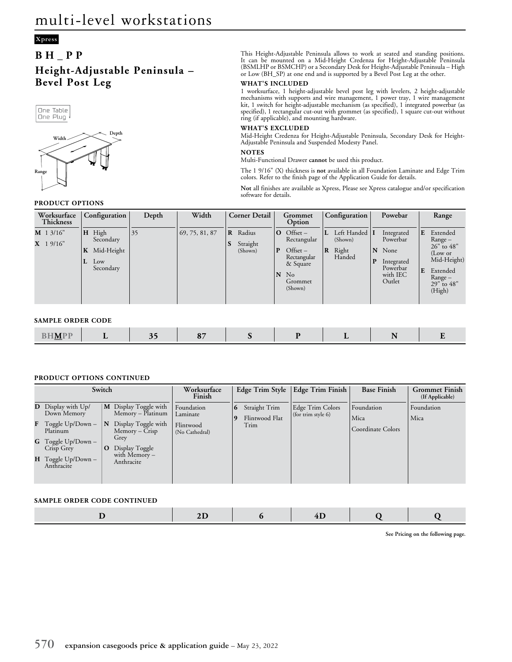## **Xpress**

# **BH\_PP Height-Adjustable Peninsula – Bevel Post Leg**



## **PRODUCT OPTIONS**

This Height-Adjustable Peninsula allows to work at seated and standing positions. It can be mounted on a Mid-Height Credenza for Height-Adjustable Peninsula (BSMLHP or BSMCHP) or a Secondary Desk for Height-Adjustable Peninsula – High or Low (BH\_SP) at one end and is supported by a Bevel Post Leg at the other.

#### **WHAT'S INCLUDED**

1 worksurface, 1 height-adjustable bevel post leg with levelers, 2 height-adjustable mechanisms with supports and wire management, 1 power tray, 1 wire management kit, 1 switch for height-adjustable mechanism (as specified), 1 integrated powerbar (as specified), 1 rectangular cut-out with grommet (as specified), 1 square cut-out without ring (if applicable), and mounting hardware.

### **WHAT'S EXCLUDED**

Mid-Height Credenza for Height-Adjustable Peninsula, Secondary Desk for Height-Adjustable Peninsula and Suspended Modesty Panel.

#### **NOTES**

Multi-Functional Drawer **cannot** be used this product.

The 1 9/16" (X) thickness is **not** available in all Foundation Laminate and Edge Trim colors. Refer to the finish page of the Application Guide for details.

**Not** all finishes are available as Xpress, Please see Xpress catalogue and/or specification software for details.

| Worksurface<br>Thickness  | Configuration                                                    | Depth | Width          | <b>Corner Detail</b>                               | Grommet<br>Option                                                                                                    | Configuration                                    | Powebar                                                                               | Range                                                                                                                  |
|---------------------------|------------------------------------------------------------------|-------|----------------|----------------------------------------------------|----------------------------------------------------------------------------------------------------------------------|--------------------------------------------------|---------------------------------------------------------------------------------------|------------------------------------------------------------------------------------------------------------------------|
| $M$ 1 3/16"<br>$X$ 19/16" | H High<br>Secondary<br>Mid-Height<br>K<br>ΙL<br>Low<br>Secondary | 35    | 69, 75, 81, 87 | Radius<br>$\mathbf{R}$<br>Straight<br>S<br>(Shown) | Offset –<br>$\mathbf{o}$<br>Rectangular<br>P<br>Offset –<br>Rectangular<br>& Square<br>N<br>No<br>Grommet<br>(Shown) | Left Handed  <br>(Shown)<br>Right<br>R<br>Handed | Integrated<br>Powerbar<br>N None<br>P<br>Integrated<br>Powerbar<br>with IEC<br>Outlet | E<br>Extended<br>Range –<br>$26"$ to 48"<br>(Low or<br>Mid-Height)<br>E<br>Extended<br>Range –<br>29" to 48"<br>(High) |

## **SAMPLE ORDER CODE**

| <b>Contract Contract</b><br>N/I<br>_____ | $\overline{\phantom{0}}$ |  |  |  |  | __ | $ -$ |  |
|------------------------------------------|--------------------------|--|--|--|--|----|------|--|
|------------------------------------------|--------------------------|--|--|--|--|----|------|--|

### **PRODUCT OPTIONS CONTINUED**

| Switch                                   |             |                                            | Worksurface<br>Finish       |                | Edge Trim Style                 | <b>Edge Trim Finish</b>                | <b>Base Finish</b> | <b>Grommet Finish</b><br>(If Applicable) |
|------------------------------------------|-------------|--------------------------------------------|-----------------------------|----------------|---------------------------------|----------------------------------------|--------------------|------------------------------------------|
| <b>D</b> Display with Up/<br>Down Memory |             | M Display Toggle with<br>Memory – Platinum | Foundation<br>Laminate      | $\overline{6}$ | Straight Trim<br>Flintwood Flat | Edge Trim Colors<br>(for trim style 6) | Foundation<br>Mica | Foundation<br>Mica                       |
| F Toggle Up/Down -<br>Platinum           | N           | Display Toggle with<br>$Memory - C$ risp   | Flintwood<br>(No Cathedral) |                | Trim                            |                                        | Coordinate Colors  |                                          |
| <b>G</b> Toggle Up/Down –<br>Crisp Grey  | $\mathbf O$ | Grey<br>Display Toggle                     |                             |                |                                 |                                        |                    |                                          |
| H Toggle Up/Down -<br>Anthracite         |             | with Memory $-$<br>Anthracite              |                             |                |                                 |                                        |                    |                                          |

### **SAMPLE ORDER CODE CONTINUED**

|--|--|--|

**See Pricing on the following page.**